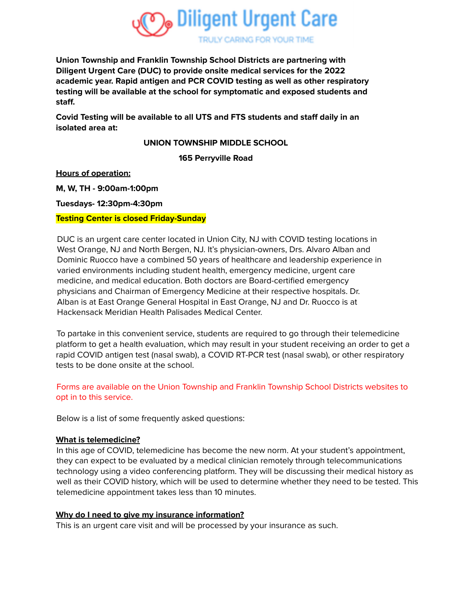

**Union Township and Franklin Township School Districts are partnering with Diligent Urgent Care (DUC) to provide onsite medical services for the 2022 academic year. Rapid antigen and PCR COVID testing as well as other respiratory testing will be available at the school for symptomatic and exposed students and staff.**

**Covid Testing will be available to all UTS and FTS students and staff daily in an isolated area at:**

**UNION TOWNSHIP MIDDLE SCHOOL**

**165 Perryville Road**

**Hours of operation:**

**M, W, TH - 9:00am-1:00pm**

**Tuesdays- 12:30pm-4:30pm**

### **Testing Center is closed Friday-Sunday**

DUC is an urgent care center located in Union City, NJ with COVID testing locations in West Orange, NJ and North Bergen, NJ. It's physician-owners, Drs. Alvaro Alban and Dominic Ruocco have a combined 50 years of healthcare and leadership experience in varied environments including student health, emergency medicine, urgent care medicine, and medical education. Both doctors are Board-certified emergency physicians and Chairman of Emergency Medicine at their respective hospitals. Dr. Alban is at East Orange General Hospital in East Orange, NJ and Dr. Ruocco is at Hackensack Meridian Health Palisades Medical Center.

To partake in this convenient service, students are required to go through their telemedicine platform to get a health evaluation, which may result in your student receiving an order to get a rapid COVID antigen test (nasal swab), a COVID RT-PCR test (nasal swab), or other respiratory tests to be done onsite at the school.

# Forms are available on the Union Township and Franklin Township School Districts websites to opt in to this service.

Below is a list of some frequently asked questions:

# **What is telemedicine?**

In this age of COVID, telemedicine has become the new norm. At your student's appointment, they can expect to be evaluated by a medical clinician remotely through telecommunications technology using a video conferencing platform. They will be discussing their medical history as well as their COVID history, which will be used to determine whether they need to be tested. This telemedicine appointment takes less than 10 minutes.

# **Why do I need to give my insurance information?**

This is an urgent care visit and will be processed by your insurance as such.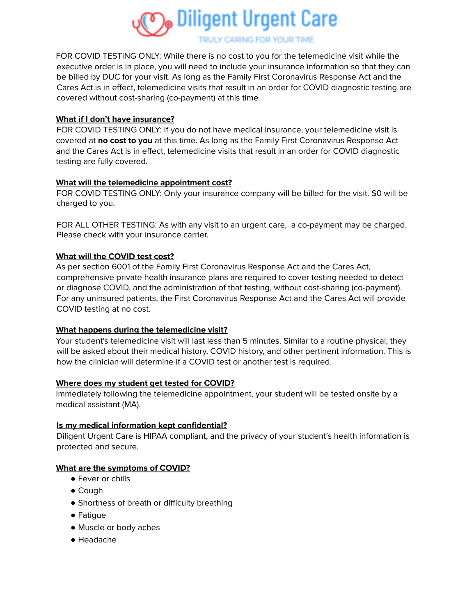

**TRULY CARING FOR YOUR TIME** 

FOR COVID TESTING ONLY: While there is no cost to you for the telemedicine visit while the executive order is in place, you will need to include your insurance information so that they can be billed by DUC for your visit. As long as the Family First Coronavirus Response Act and the Cares Act is in effect, telemedicine visits that result in an order for COVID diagnostic testing are covered without cost-sharing (co-payment) at this time.

### **What if I don't have insurance?**

FOR COVID TESTING ONLY: If you do not have medical insurance, your telemedicine visit is covered at **no cost to you** at this time. As long as the Family First Coronavirus Response Act and the Cares Act is in effect, telemedicine visits that result in an order for COVID diagnostic testing are fully covered.

### **What will the telemedicine appointment cost?**

FOR COVID TESTING ONLY: Only your insurance company will be billed for the visit. \$0 will be charged to you.

FOR ALL OTHER TESTING: As with any visit to an urgent care, a co-payment may be charged. Please check with your insurance carrier.

### **What will the COVID test cost?**

As per section 6001 of the Family First Coronavirus Response Act and the Cares Act, comprehensive private health insurance plans are required to cover testing needed to detect or diagnose COVID, and the administration of that testing, without cost-sharing (co-payment). For any uninsured patients, the First Coronavirus Response Act and the Cares Act will provide COVID testing at no cost.

# **What happens during the telemedicine visit?**

Your student's telemedicine visit will last less than 5 minutes. Similar to a routine physical, they will be asked about their medical history, COVID history, and other pertinent information. This is how the clinician will determine if a COVID test or another test is required.

#### **Where does my student get tested for COVID?**

Immediately following the telemedicine appointment, your student will be tested onsite by a medical assistant (MA).

#### **Is my medical information kept confidential?**

Diligent Urgent Care is HIPAA compliant, and the privacy of your student's health information is protected and secure.

#### **What are the symptoms of COVID?**

- Fever or chills
- Cough
- Shortness of breath or difficulty breathing
- Fatigue
- Muscle or body aches
- Headache